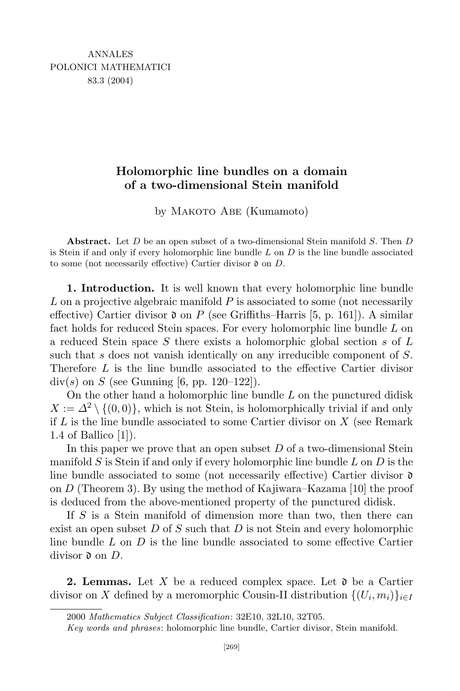## Holomorphic line bundles on a domain of a two-dimensional Stein manifold

by Макото Abe (Kumamoto)

Abstract. Let  $D$  be an open subset of a two-dimensional Stein manifold  $S$ . Then  $D$ is Stein if and only if every holomorphic line bundle  $L$  on  $D$  is the line bundle associated to some (not necessarily effective) Cartier divisor  $\mathfrak d$  on D.

1. Introduction. It is well known that every holomorphic line bundle  $L$  on a projective algebraic manifold  $P$  is associated to some (not necessarily effective) Cartier divisor  $\mathfrak d$  on P (see Griffiths–Harris [5, p. 161]). A similar fact holds for reduced Stein spaces. For every holomorphic line bundle L on a reduced Stein space S there exists a holomorphic global section s of  $L$ such that s does not vanish identically on any irreducible component of S. Therefore L is the line bundle associated to the effective Cartier divisor  $div(s)$  on S (see Gunning [6, pp. 120–122]).

On the other hand a holomorphic line bundle  $L$  on the punctured didisk  $X := \Delta^2 \setminus \{(0,0)\}\,$ , which is not Stein, is holomorphically trivial if and only if  $L$  is the line bundle associated to some Cartier divisor on  $X$  (see Remark 1.4 of Ballico [1]).

In this paper we prove that an open subset  $D$  of a two-dimensional Stein manifold  $S$  is Stein if and only if every holomorphic line bundle  $L$  on  $D$  is the line bundle associated to some (not necessarily effective) Cartier divisor  $\mathfrak d$ on D (Theorem 3). By using the method of Kajiwara–Kazama [10] the proof is deduced from the above-mentioned property of the punctured didisk.

If  $S$  is a Stein manifold of dimension more than two, then there can exist an open subset  $D$  of  $S$  such that  $D$  is not Stein and every holomorphic line bundle  $L$  on  $D$  is the line bundle associated to some effective Cartier divisor  $\mathfrak d$  on  $D$ .

**2. Lemmas.** Let X be a reduced complex space. Let  $\mathfrak d$  be a Cartier divisor on X defined by a meromorphic Cousin-II distribution  $\{(U_i, m_i)\}_{i \in I}$ 

<sup>2000</sup> Mathematics Subject Classification: 32E10, 32L10, 32T05.

Key words and phrases: holomorphic line bundle, Cartier divisor, Stein manifold.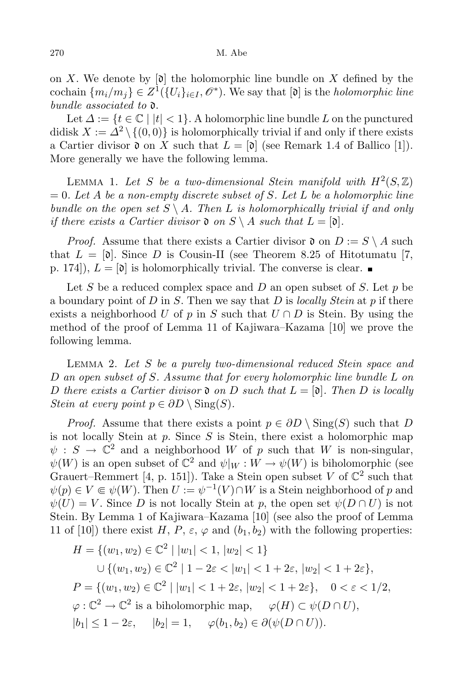## 270 M. Abe

on X. We denote by  $[\mathfrak{d}]$  the holomorphic line bundle on X defined by the cochain  $\{m_i/m_j\} \in Z^1(\{U_i\}_{i \in I}, \mathcal{O}^*)$ . We say that  $[\mathfrak{d}]$  is the *holomorphic line* bundle associated to  $\mathfrak{d}$ .

Let  $\Delta := \{t \in \mathbb{C} \mid |t| < 1\}$ . A holomorphic line bundle L on the punctured didisk  $X := \Delta^2 \setminus \{(0,0)\}\$ is holomorphically trivial if and only if there exists a Cartier divisor  $\mathfrak d$  on X such that  $L = [\mathfrak d]$  (see Remark 1.4 of Ballico [1]). More generally we have the following lemma.

LEMMA 1. Let S be a two-dimensional Stein manifold with  $H^2(S, \mathbb{Z})$  $= 0.$  Let A be a non-empty discrete subset of S. Let L be a holomorphic line bundle on the open set  $S \setminus A$ . Then L is holomorphically trivial if and only if there exists a Cartier divisor  $\mathfrak{d}$  on  $S \setminus A$  such that  $L = [\mathfrak{d}]$ .

*Proof.* Assume that there exists a Cartier divisor  $\mathfrak{d}$  on  $D := S \setminus A$  such that  $L = [\mathfrak{d}]$ . Since D is Cousin-II (see Theorem 8.25 of Hitotumatu [7, p. 174]),  $L = [\mathfrak{d}]$  is holomorphically trivial. The converse is clear.

Let S be a reduced complex space and D an open subset of S. Let  $p$  be a boundary point of D in S. Then we say that D is locally Stein at p if there exists a neighborhood U of p in S such that  $U \cap D$  is Stein. By using the method of the proof of Lemma 11 of Kajiwara–Kazama [10] we prove the following lemma.

LEMMA 2. Let  $S$  be a purely two-dimensional reduced Stein space and D an open subset of S. Assume that for every holomorphic line bundle L on D there exists a Cartier divisor  $\mathfrak d$  on D such that  $L = [\mathfrak d]$ . Then D is locally Stein at every point  $p \in \partial D \setminus Sing(S)$ .

*Proof.* Assume that there exists a point  $p \in \partial D \setminus \text{Sing}(S)$  such that D is not locally Stein at  $p$ . Since  $S$  is Stein, there exist a holomorphic map  $\psi : S \to \mathbb{C}^2$  and a neighborhood W of p such that W is non-singular,  $\psi(W)$  is an open subset of  $\mathbb{C}^2$  and  $\psi|_{W}: W \to \psi(W)$  is biholomorphic (see Grauert–Remmert [4, p. 151]). Take a Stein open subset V of  $\mathbb{C}^2$  such that  $\psi(p) \in V \subseteq \psi(W)$ . Then  $U := \psi^{-1}(V) \cap W$  is a Stein neighborhood of p and  $\psi(U) = V$ . Since D is not locally Stein at p, the open set  $\psi(D \cap U)$  is not Stein. By Lemma 1 of Kajiwara–Kazama [10] (see also the proof of Lemma 11 of [10]) there exist H, P,  $\varepsilon$ ,  $\varphi$  and  $(b_1, b_2)$  with the following properties:

$$
H = \{(w_1, w_2) \in \mathbb{C}^2 \mid |w_1| < 1, |w_2| < 1\}
$$
\n
$$
\cup \{(w_1, w_2) \in \mathbb{C}^2 \mid 1 - 2\varepsilon < |w_1| < 1 + 2\varepsilon, |w_2| < 1 + 2\varepsilon\},
$$
\n
$$
P = \{(w_1, w_2) \in \mathbb{C}^2 \mid |w_1| < 1 + 2\varepsilon, |w_2| < 1 + 2\varepsilon\}, \quad 0 < \varepsilon < 1/2,
$$
\n
$$
\varphi : \mathbb{C}^2 \to \mathbb{C}^2 \text{ is a biholomorphic map}, \quad \varphi(H) \subset \psi(D \cap U),
$$
\n
$$
|b_1| \leq 1 - 2\varepsilon, \quad |b_2| = 1, \quad \varphi(b_1, b_2) \in \partial(\psi(D \cap U)).
$$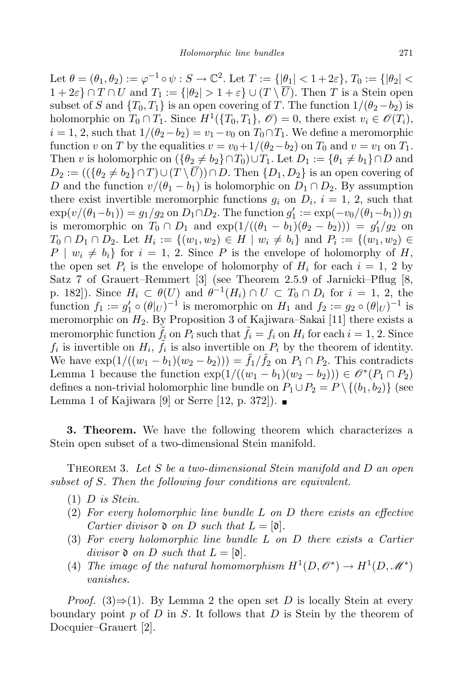Let  $\theta = (\theta_1, \theta_2) := \varphi^{-1} \circ \psi : S \to \mathbb{C}^2$ . Let  $T := \{ |\theta_1| < 1 + 2\varepsilon \}, T_0 := \{ |\theta_2| < \varepsilon \}$  $1 + 2\varepsilon$   $\cap$   $T \cap U$  and  $T_1 := {\vert \theta_2 \vert > 1 + \varepsilon } \cup (T \setminus \overline{U})$ . Then T is a Stein open subset of S and  $\{T_0, T_1\}$  is an open covering of T. The function  $1/(\theta_2 - b_2)$  is holomorphic on  $T_0 \cap T_1$ . Since  $H^1(\{T_0, T_1\}, \mathscr{O}) = 0$ , there exist  $v_i \in \mathscr{O}(T_i)$ ,  $i = 1, 2$ , such that  $1/(\theta_2 - b_2) = v_1 - v_0$  on  $T_0 \cap T_1$ . We define a meromorphic function v on T by the equalities  $v = v_0 + 1/(\theta_2 - \theta_2)$  on  $T_0$  and  $v = v_1$  on  $T_1$ . Then v is holomorphic on  $(\{\theta_2 \neq b_2\} \cap T_0) \cup T_1$ . Let  $D_1 := \{\theta_1 \neq b_1\} \cap D$  and  $D_2 := (({\theta_2 \neq b_2} \cap T) \cup (T \setminus \overline{U})) \cap D$ . Then  ${D_1, D_2}$  is an open covering of D and the function  $v/(\theta_1 - b_1)$  is holomorphic on  $D_1 \cap D_2$ . By assumption there exist invertible meromorphic functions  $g_i$  on  $D_i$ ,  $i = 1, 2$ , such that  $\exp(v/(\theta_1 - b_1)) = g_1/g_2$  on  $D_1 \cap D_2$ . The function  $g'_1 := \exp(-v_0/(\theta_1 - b_1)) g_1$ is meromorphic on  $T_0 \cap D_1$  and  $\exp(1/((\theta_1 - b_1)(\theta_2 - b_2))) = g'_1/g_2$  on  $T_0 \cap D_1 \cap D_2$ . Let  $H_i := \{(w_1, w_2) \in H \mid w_i \neq b_i\}$  and  $P_i := \{(w_1, w_2) \in H \mid w_i \neq b_i\}$  $P \mid w_i \neq b_i$  for  $i = 1, 2$ . Since P is the envelope of holomorphy of H, the open set  $P_i$  is the envelope of holomorphy of  $H_i$  for each  $i = 1, 2$  by Satz 7 of Grauert–Remmert [3] (see Theorem 2.5.9 of Jarnicki–Pflug [8, p. 182]). Since  $H_i \subset \theta(U)$  and  $\theta^{-1}(H_i) \cap U \subset T_0 \cap D_i$  for  $i = 1, 2,$  the function  $f_1 := g'_1 \circ (\theta|_U)^{-1}$  is meromorphic on  $H_1$  and  $f_2 := g_2 \circ (\theta|_U)^{-1}$  is meromorphic on  $H_2$ . By Proposition 3 of Kajiwara–Sakai [11] there exists a meromorphic function  $\tilde{f}_i$  on  $P_i$  such that  $\tilde{f}_i = f_i$  on  $H_i$  for each  $i = 1, 2$ . Since  $f_i$  is invertible on  $H_i$ ,  $\tilde{f}_i$  is also invertible on  $P_i$  by the theorem of identity. We have  $\exp(1/((w_1 - b_1)(w_2 - b_2))) = \tilde{f}_1/\tilde{f}_2$  on  $P_1 \cap P_2$ . This contradicts Lemma 1 because the function  $\exp(1/((w_1 - b_1)(w_2 - b_2))) \in \mathcal{O}^*(P_1 \cap P_2)$ defines a non-trivial holomorphic line bundle on  $P_1 \cup P_2 = P \setminus \{(b_1, b_2)\}\$  (see Lemma 1 of Kajiwara [9] or Serre [12, p. 372]).  $\blacksquare$ 

3. Theorem. We have the following theorem which characterizes a Stein open subset of a two-dimensional Stein manifold.

THEOREM 3. Let S be a two-dimensional Stein manifold and  $D$  an open subset of S. Then the following four conditions are equivalent.

- $(1)$  D is Stein.
- $(2)$  For every holomorphic line bundle L on D there exists an effective Cartier divisor  $\mathfrak d$  on D such that  $L = [\mathfrak d]$ .
- (3) For every holomorphic line bundle L on D there exists a Cartier divisor  $\mathfrak d$  on D such that  $L = [\mathfrak d]$ .
- (4) The image of the natural homomorphism  $H^1(D, \mathcal{O}^*) \to H^1(D, \mathcal{M}^*)$ vanishes.

*Proof.* (3)⇒(1). By Lemma 2 the open set D is locally Stein at every boundary point p of D in S. It follows that D is Stein by the theorem of Docquier–Grauert [2].